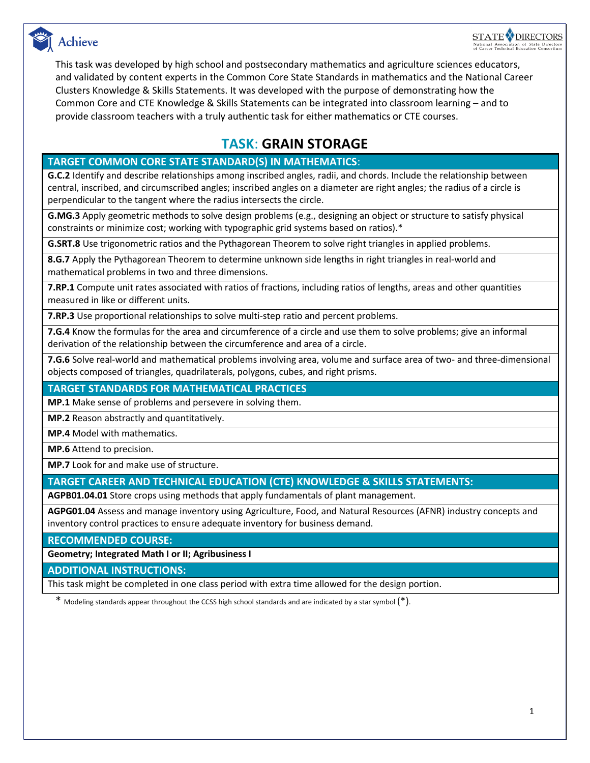



This task was developed by high school and postsecondary mathematics and agriculture sciences educators, and validated by content experts in the Common Core State Standards in mathematics and the National Career Clusters Knowledge & Skills Statements. It was developed with the purpose of demonstrating how the Common Core and CTE Knowledge & Skills Statements can be integrated into classroom learning – and to provide classroom teachers with a truly authentic task for either mathematics or CTE courses.

### **TASK**: **GRAIN STORAGE**

### **TARGET COMMON CORE STATE STANDARD(S) IN MATHEMATICS**:

**G.C.2** Identify and describe relationships among inscribed angles, radii, and chords. Include the relationship between central, inscribed, and circumscribed angles; inscribed angles on a diameter are right angles; the radius of a circle is perpendicular to the tangent where the radius intersects the circle.

**G.MG.3** Apply geometric methods to solve design problems (e.g., designing an object or structure to satisfy physical constraints or minimize cost; working with typographic grid systems based on ratios).\*

**G.SRT.8** Use trigonometric ratios and the Pythagorean Theorem to solve right triangles in applied problems.

**8.G.7** Apply the Pythagorean Theorem to determine unknown side lengths in right triangles in real-world and mathematical problems in two and three dimensions.

**7.RP.1** Compute unit rates associated with ratios of fractions, including ratios of lengths, areas and other quantities measured in like or different units.

**7.RP.3** Use proportional relationships to solve multi-step ratio and percent problems.

**7.G.4** Know the formulas for the area and circumference of a circle and use them to solve problems; give an informal derivation of the relationship between the circumference and area of a circle.

**7.G.6** Solve real-world and mathematical problems involving area, volume and surface area of two- and three-dimensional objects composed of triangles, quadrilaterals, polygons, cubes, and right prisms.

### **TARGET STANDARDS FOR MATHEMATICAL PRACTICES**

**MP.1** Make sense of problems and persevere in solving them.

**MP.2** Reason abstractly and quantitatively.

**MP.4** Model with mathematics.

**MP.6** Attend to precision.

**MP.7** Look for and make use of structure.

### **TARGET CAREER AND TECHNICAL EDUCATION (CTE) KNOWLEDGE & SKILLS STATEMENTS:**

**AGPB01.04.01** Store crops using methods that apply fundamentals of plant management.

**AGPG01.04** Assess and manage inventory using Agriculture, Food, and Natural Resources (AFNR) industry concepts and inventory control practices to ensure adequate inventory for business demand.

**RECOMMENDED COURSE:**

**Geometry; Integrated Math I or II; Agribusiness I**

**ADDITIONAL INSTRUCTIONS:**

This task might be completed in one class period with extra time allowed for the design portion.

\* Modeling standards appear throughout the CCSS high school standards and are indicated by a star symbol  $(*)$ .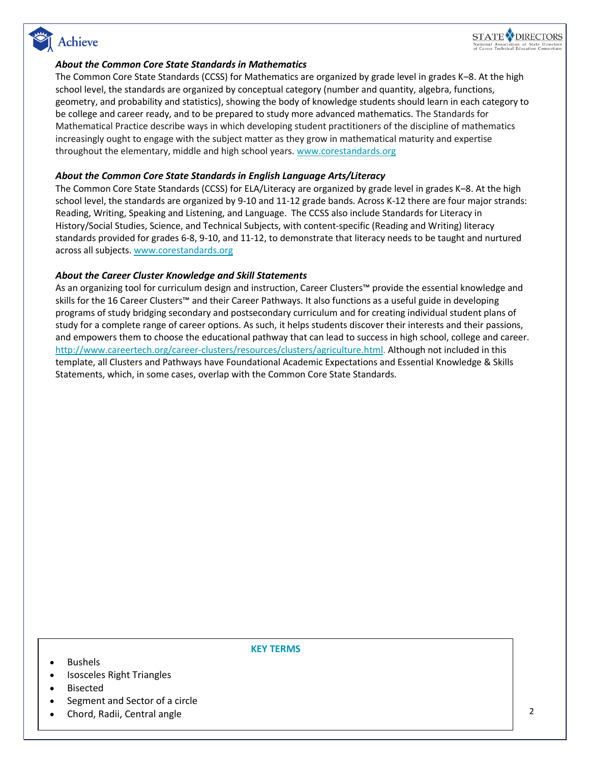## Achieve



#### *About the Common Core State Standards in Mathematics*

The Common Core State Standards (CCSS) for Mathematics are organized by grade level in grades K–8. At the high school level, the standards are organized by conceptual category (number and quantity, algebra, functions, geometry, and probability and statistics), showing the body of knowledge students should learn in each category to be college and career ready, and to be prepared to study more advanced mathematics. The Standards for Mathematical Practice describe ways in which developing student practitioners of the discipline of mathematics increasingly ought to engage with the subject matter as they grow in mathematical maturity and expertise throughout the elementary, middle and high school years. [www.corestandards.org](http://www.corestandards.org/)

#### *About the Common Core State Standards in English Language Arts/Literacy*

The Common Core State Standards (CCSS) for ELA/Literacy are organized by grade level in grades K–8. At the high school level, the standards are organized by 9-10 and 11-12 grade bands. Across K-12 there are four major strands: Reading, Writing, Speaking and Listening, and Language. The CCSS also include Standards for Literacy in History/Social Studies, Science, and Technical Subjects, with content-specific (Reading and Writing) literacy standards provided for grades 6-8, 9-10, and 11-12, to demonstrate that literacy needs to be taught and nurtured across all subjects. [www.corestandards.org](http://www.corestandards.org/)

#### *About the Career Cluster Knowledge and Skill Statements*

As an organizing tool for curriculum design and instruction, Career Clusters™ provide the essential knowledge and skills for the 16 Career Clusters™ and their Career Pathways. It also functions as a useful guide in developing programs of study bridging secondary and postsecondary curriculum and for creating individual student plans of study for a complete range of career options. As such, it helps students discover their interests and their passions, and empowers them to choose the educational pathway that can lead to success in high school, college and career. [http://www.careertech.org/career-clusters/resources/clusters/agriculture.html.](http://www.careertech.org/career-clusters/resources/clusters/agriculture.html) Although not included in this template, all Clusters and Pathways have Foundational Academic Expectations and Essential Knowledge & Skills Statements, which, in some cases, overlap with the Common Core State Standards.

Bushels

**KEY TERMS**

- 
- Isosceles Right Triangles
- Bisected
- Segment and Sector of a circle
- Chord, Radii, Central angle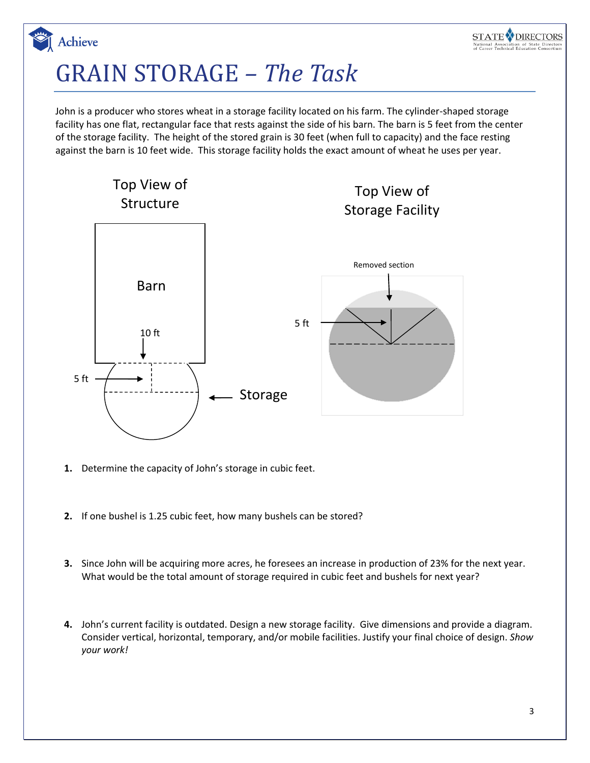## GRAIN STORAGE *– The Task*

Achieve

John is a producer who stores wheat in a storage facility located on his farm. The cylinder-shaped storage facility has one flat, rectangular face that rests against the side of his barn. The barn is 5 feet from the center of the storage facility. The height of the stored grain is 30 feet (when full to capacity) and the face resting against the barn is 10 feet wide. This storage facility holds the exact amount of wheat he uses per year.



- **1.** Determine the capacity of John's storage in cubic feet.
- **2.** If one bushel is 1.25 cubic feet, how many bushels can be stored?
- **3.** Since John will be acquiring more acres, he foresees an increase in production of 23% for the next year. What would be the total amount of storage required in cubic feet and bushels for next year?
- **4.** John's current facility is outdated. Design a new storage facility. Give dimensions and provide a diagram. Consider vertical, horizontal, temporary, and/or mobile facilities. Justify your final choice of design. *Show your work!*

STATE **V** DIRECTORS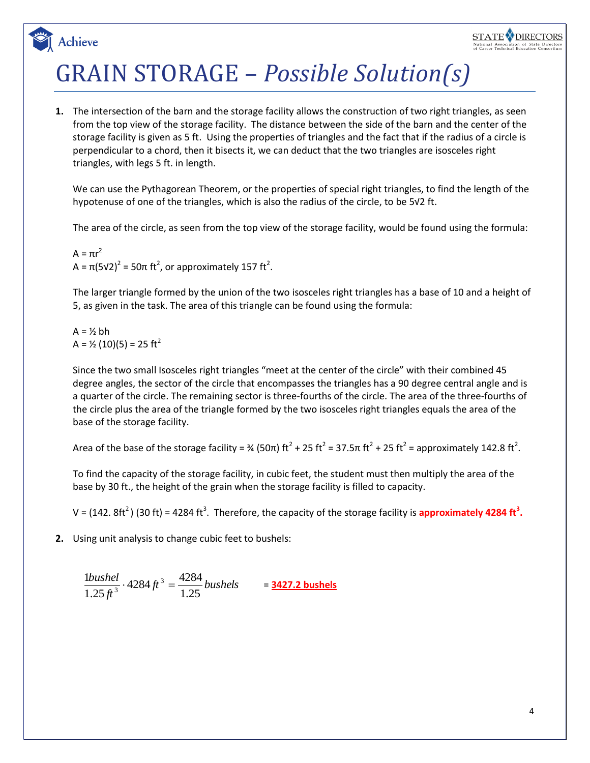## GRAIN STORAGE – *Possible Solution(s)*

**1.** The intersection of the barn and the storage facility allows the construction of two right triangles, as seen from the top view of the storage facility. The distance between the side of the barn and the center of the storage facility is given as 5 ft. Using the properties of triangles and the fact that if the radius of a circle is perpendicular to a chord, then it bisects it, we can deduct that the two triangles are isosceles right triangles, with legs 5 ft. in length.

We can use the Pythagorean Theorem, or the properties of special right triangles, to find the length of the hypotenuse of one of the triangles, which is also the radius of the circle, to be 5√2 ft.

The area of the circle, as seen from the top view of the storage facility, would be found using the formula:

 $A = \pi r^2$ A =  $\pi$ (5√2)<sup>2</sup> = 50 $\pi$  ft<sup>2</sup>, or approximately 157 ft<sup>2</sup>.

The larger triangle formed by the union of the two isosceles right triangles has a base of 10 and a height of 5, as given in the task. The area of this triangle can be found using the formula:

$$
A = \frac{1}{2} bh
$$
  
 $A = \frac{1}{2} (10)(5) = 25 ft^2$ 

Achieve

Since the two small Isosceles right triangles "meet at the center of the circle" with their combined 45 degree angles, the sector of the circle that encompasses the triangles has a 90 degree central angle and is a quarter of the circle. The remaining sector is three-fourths of the circle. The area of the three-fourths of the circle plus the area of the triangle formed by the two isosceles right triangles equals the area of the base of the storage facility.

Area of the base of the storage facility = 3⁄4 (50π) ft<sup>2</sup> + 25 ft<sup>2</sup> = 37.5π ft<sup>2</sup> + 25 ft<sup>2</sup> = approximately 142.8 ft<sup>2</sup>.

To find the capacity of the storage facility, in cubic feet, the student must then multiply the area of the base by 30 ft., the height of the grain when the storage facility is filled to capacity.

V = (142. 8ft<sup>2</sup>) (30 ft) = 4284 ft<sup>3</sup>. Therefore, the capacity of the storage facility is **approximately 4284 ft<sup>3</sup>.** 

**2.** Using unit analysis to change cubic feet to bushels:

$$
\frac{1bushel}{1.25\,f^3} \cdot 4284\,f^3 = \frac{4284}{1.25} \, bushels \qquad = \frac{\textbf{3427.2 bushels}}{1.25}
$$

STATE DIRECTORS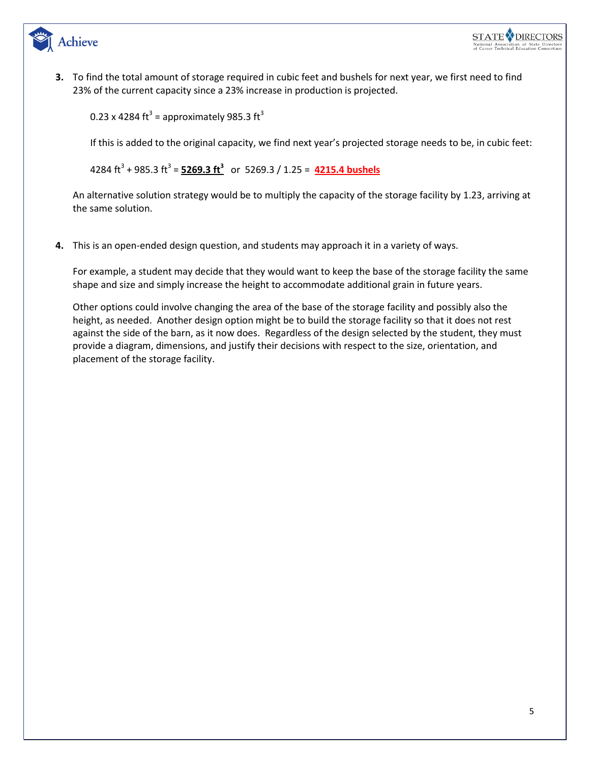

**3.** To find the total amount of storage required in cubic feet and bushels for next year, we first need to find 23% of the current capacity since a 23% increase in production is projected.

0.23 x 4284 ft<sup>3</sup> = approximately 985.3 ft<sup>3</sup>

If this is added to the original capacity, we find next year's projected storage needs to be, in cubic feet:

4284 ft<sup>3</sup> + 985.3 ft<sup>3</sup> = <mark>5269.3 ft<sup>3</sup></mark> or 5269.3 / 1.25 = 4215.4 bushels

An alternative solution strategy would be to multiply the capacity of the storage facility by 1.23, arriving at the same solution.

**4.** This is an open-ended design question, and students may approach it in a variety of ways.

For example, a student may decide that they would want to keep the base of the storage facility the same shape and size and simply increase the height to accommodate additional grain in future years.

Other options could involve changing the area of the base of the storage facility and possibly also the height, as needed. Another design option might be to build the storage facility so that it does not rest against the side of the barn, as it now does. Regardless of the design selected by the student, they must provide a diagram, dimensions, and justify their decisions with respect to the size, orientation, and placement of the storage facility.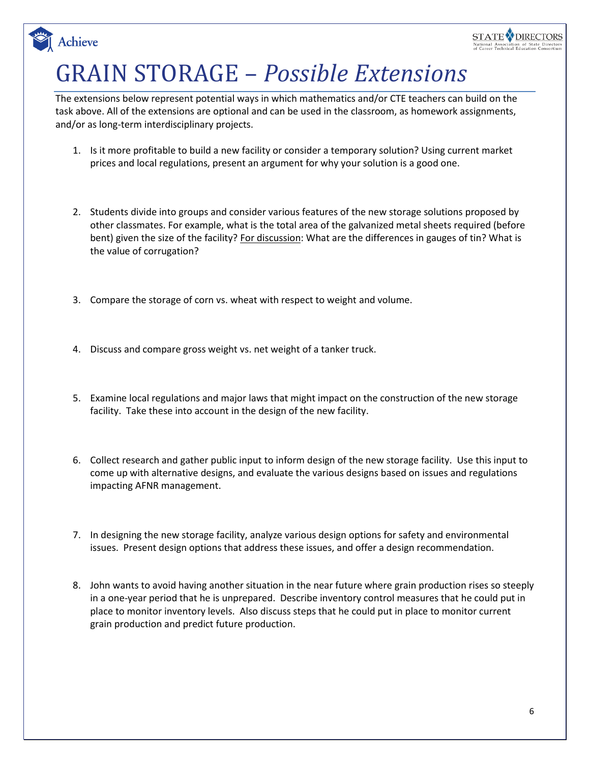# GRAIN STORAGE – *Possible Extensions*

Achieve

The extensions below represent potential ways in which mathematics and/or CTE teachers can build on the task above. All of the extensions are optional and can be used in the classroom, as homework assignments, and/or as long-term interdisciplinary projects.

- 1. Is it more profitable to build a new facility or consider a temporary solution? Using current market prices and local regulations, present an argument for why your solution is a good one.
- 2. Students divide into groups and consider various features of the new storage solutions proposed by other classmates. For example, what is the total area of the galvanized metal sheets required (before bent) given the size of the facility? For discussion: What are the differences in gauges of tin? What is the value of corrugation?
- 3. Compare the storage of corn vs. wheat with respect to weight and volume.
- 4. Discuss and compare gross weight vs. net weight of a tanker truck.
- 5. Examine local regulations and major laws that might impact on the construction of the new storage facility. Take these into account in the design of the new facility.
- 6. Collect research and gather public input to inform design of the new storage facility. Use this input to come up with alternative designs, and evaluate the various designs based on issues and regulations impacting AFNR management.
- 7. In designing the new storage facility, analyze various design options for safety and environmental issues. Present design options that address these issues, and offer a design recommendation.
- 8. John wants to avoid having another situation in the near future where grain production rises so steeply in a one-year period that he is unprepared. Describe inventory control measures that he could put in place to monitor inventory levels. Also discuss steps that he could put in place to monitor current grain production and predict future production.

STATE **V** DIRECTORS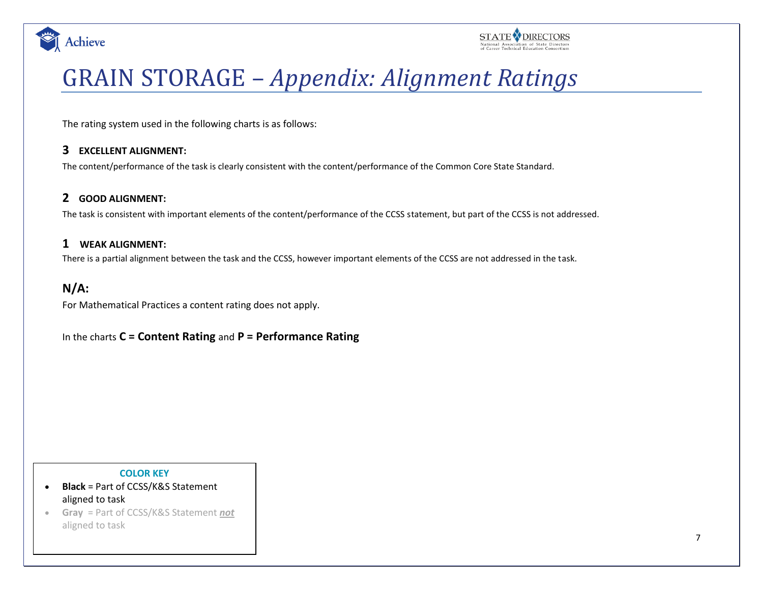



## GRAIN STORAGE – *Appendix: Alignment Ratings*

The rating system used in the following charts is as follows:

### **3 EXCELLENT ALIGNMENT:**

The content/performance of the task is clearly consistent with the content/performance of the Common Core State Standard.

### **2 GOOD ALIGNMENT:**

The task is consistent with important elements of the content/performance of the CCSS statement, but part of the CCSS is not addressed.

### **1 WEAK ALIGNMENT:**

There is a partial alignment between the task and the CCSS, however important elements of the CCSS are not addressed in the task.

### **N/A:**

For Mathematical Practices a content rating does not apply.

In the charts **C = Content Rating** and **P = Performance Rating**

#### **COLOR KEY**

- **Black** = Part of CCSS/K&S Statement aligned to task
- **Gray** = Part of CCSS/K&S Statement *not* aligned to task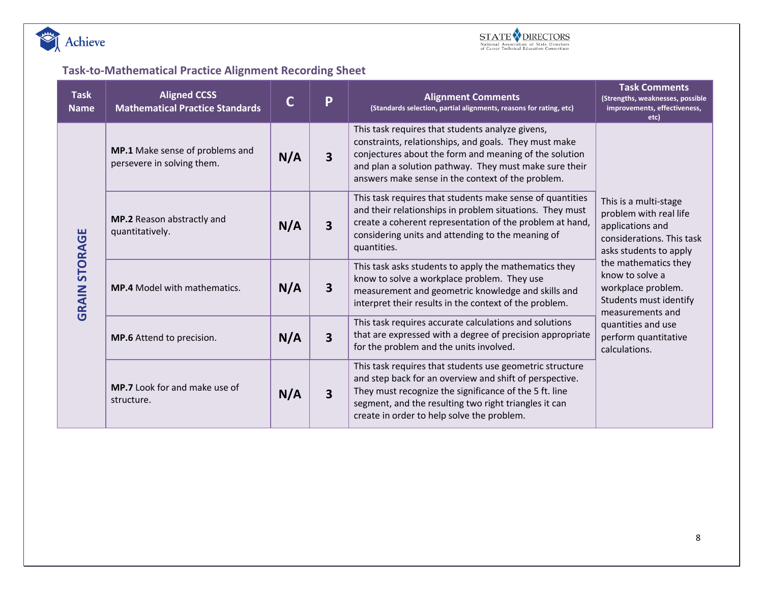



### **Task-to-Mathematical Practice Alignment Recording Sheet**

| <b>Task</b><br><b>Name</b> | <b>Aligned CCSS</b><br><b>Mathematical Practice Standards</b> | C   | P                       | <b>Alignment Comments</b><br>(Standards selection, partial alignments, reasons for rating, etc)                                                                                                                                                                                      | <b>Task Comments</b><br>(Strengths, weaknesses, possible<br>improvements, effectiveness,<br>etc)                                                                           |  |
|----------------------------|---------------------------------------------------------------|-----|-------------------------|--------------------------------------------------------------------------------------------------------------------------------------------------------------------------------------------------------------------------------------------------------------------------------------|----------------------------------------------------------------------------------------------------------------------------------------------------------------------------|--|
|                            | MP.1 Make sense of problems and<br>persevere in solving them. | N/A | $\overline{\mathbf{3}}$ | This task requires that students analyze givens,<br>constraints, relationships, and goals. They must make<br>conjectures about the form and meaning of the solution<br>and plan a solution pathway. They must make sure their<br>answers make sense in the context of the problem.   |                                                                                                                                                                            |  |
| <b>STORAGE</b>             | MP.2 Reason abstractly and<br>N/A<br>quantitatively.          |     | $\overline{\mathbf{3}}$ | This task requires that students make sense of quantities<br>and their relationships in problem situations. They must<br>create a coherent representation of the problem at hand,<br>considering units and attending to the meaning of<br>quantities.                                | This is a multi-stage<br>problem with real life<br>applications and<br>considerations. This task<br>asks students to apply                                                 |  |
| GRAIN                      | <b>MP.4</b> Model with mathematics.                           | N/A | 3                       | This task asks students to apply the mathematics they<br>know to solve a workplace problem. They use<br>measurement and geometric knowledge and skills and<br>interpret their results in the context of the problem.                                                                 | the mathematics they<br>know to solve a<br>workplace problem.<br>Students must identify<br>measurements and<br>quantities and use<br>perform quantitative<br>calculations. |  |
|                            | MP.6 Attend to precision.                                     | N/A | 3                       | This task requires accurate calculations and solutions<br>that are expressed with a degree of precision appropriate<br>for the problem and the units involved.                                                                                                                       |                                                                                                                                                                            |  |
|                            | MP.7 Look for and make use of<br>structure.                   | N/A | $\overline{\mathbf{3}}$ | This task requires that students use geometric structure<br>and step back for an overview and shift of perspective.<br>They must recognize the significance of the 5 ft. line<br>segment, and the resulting two right triangles it can<br>create in order to help solve the problem. |                                                                                                                                                                            |  |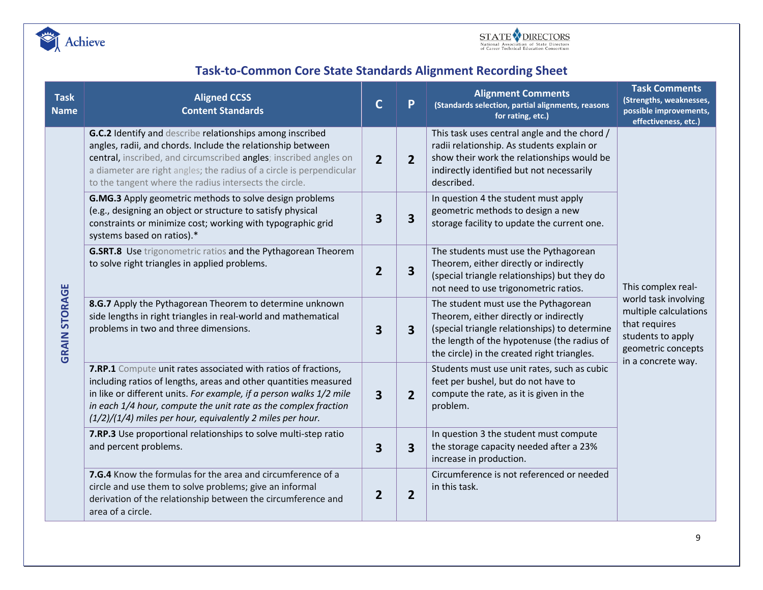



### **Task-to-Common Core State Standards Alignment Recording Sheet**

| <b>Task</b><br><b>Name</b> | <b>Aligned CCSS</b><br><b>Content Standards</b>                                                                                                                                                                                                                                                                                                                                                                                                                                                                                                                                                                                                                         | $\mathsf{C}$            | P              | <b>Alignment Comments</b><br>(Standards selection, partial alignments, reasons<br>for rating, etc.)                                                                                                                           | <b>Task Comments</b><br>(Strengths, weaknesses,<br>possible improvements,<br>effectiveness, etc.)                               |
|----------------------------|-------------------------------------------------------------------------------------------------------------------------------------------------------------------------------------------------------------------------------------------------------------------------------------------------------------------------------------------------------------------------------------------------------------------------------------------------------------------------------------------------------------------------------------------------------------------------------------------------------------------------------------------------------------------------|-------------------------|----------------|-------------------------------------------------------------------------------------------------------------------------------------------------------------------------------------------------------------------------------|---------------------------------------------------------------------------------------------------------------------------------|
| <b>GRAIN STORAGE</b>       | G.C.2 Identify and describe relationships among inscribed<br>angles, radii, and chords. Include the relationship between<br>central, inscribed, and circumscribed angles; inscribed angles on<br>a diameter are right angles; the radius of a circle is perpendicular<br>to the tangent where the radius intersects the circle.<br>G.MG.3 Apply geometric methods to solve design problems<br>(e.g., designing an object or structure to satisfy physical<br>constraints or minimize cost; working with typographic grid<br>systems based on ratios).*<br>G.SRT.8 Use trigonometric ratios and the Pythagorean Theorem<br>to solve right triangles in applied problems. |                         | $\overline{2}$ | This task uses central angle and the chord /<br>radii relationship. As students explain or<br>show their work the relationships would be<br>indirectly identified but not necessarily<br>described.                           | This complex real-                                                                                                              |
|                            |                                                                                                                                                                                                                                                                                                                                                                                                                                                                                                                                                                                                                                                                         |                         | 3              | In question 4 the student must apply<br>geometric methods to design a new<br>storage facility to update the current one.                                                                                                      |                                                                                                                                 |
|                            |                                                                                                                                                                                                                                                                                                                                                                                                                                                                                                                                                                                                                                                                         |                         | 3              | The students must use the Pythagorean<br>Theorem, either directly or indirectly<br>(special triangle relationships) but they do<br>not need to use trigonometric ratios.                                                      |                                                                                                                                 |
|                            | 8.G.7 Apply the Pythagorean Theorem to determine unknown<br>side lengths in right triangles in real-world and mathematical<br>problems in two and three dimensions.                                                                                                                                                                                                                                                                                                                                                                                                                                                                                                     | $\overline{\mathbf{3}}$ | 3              | The student must use the Pythagorean<br>Theorem, either directly or indirectly<br>(special triangle relationships) to determine<br>the length of the hypotenuse (the radius of<br>the circle) in the created right triangles. | world task involving<br>multiple calculations<br>that requires<br>students to apply<br>geometric concepts<br>in a concrete way. |
|                            | 7.RP.1 Compute unit rates associated with ratios of fractions,<br>including ratios of lengths, areas and other quantities measured<br>in like or different units. For example, if a person walks 1/2 mile<br>in each 1/4 hour, compute the unit rate as the complex fraction<br>$(1/2)/(1/4)$ miles per hour, equivalently 2 miles per hour.                                                                                                                                                                                                                                                                                                                            | $\overline{\mathbf{3}}$ | 2              | Students must use unit rates, such as cubic<br>feet per bushel, but do not have to<br>compute the rate, as it is given in the<br>problem.                                                                                     |                                                                                                                                 |
|                            | 7.RP.3 Use proportional relationships to solve multi-step ratio<br>and percent problems.<br>7.G.4 Know the formulas for the area and circumference of a<br>circle and use them to solve problems; give an informal<br>derivation of the relationship between the circumference and<br>area of a circle.                                                                                                                                                                                                                                                                                                                                                                 |                         | 3              | In question 3 the student must compute<br>the storage capacity needed after a 23%<br>increase in production.                                                                                                                  |                                                                                                                                 |
|                            |                                                                                                                                                                                                                                                                                                                                                                                                                                                                                                                                                                                                                                                                         |                         | 2              | Circumference is not referenced or needed<br>in this task.                                                                                                                                                                    |                                                                                                                                 |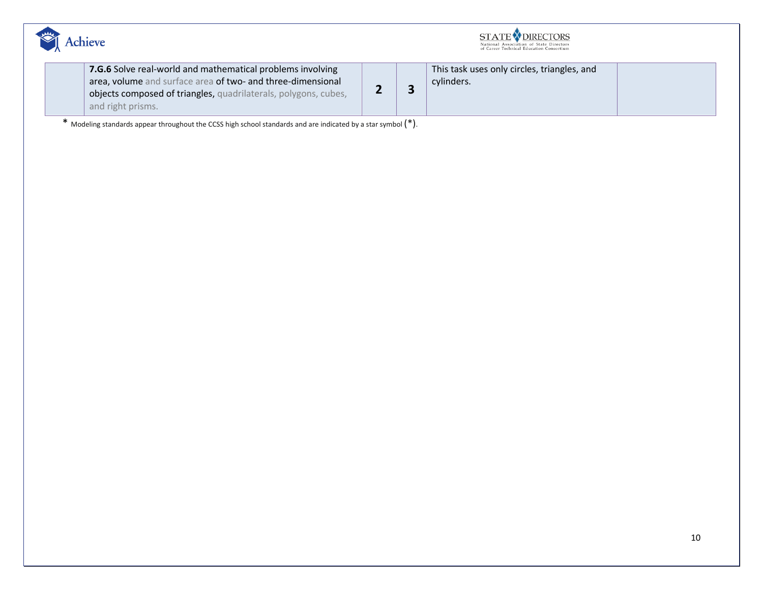

| <b>STATE V DIRECTORS</b>                 |
|------------------------------------------|
| National Association of State Directors  |
| of Career Technical Education Consortium |

| 7.G.6 Solve real-world and mathematical problems involving      |  | This task uses only circles, triangles, and |  |
|-----------------------------------------------------------------|--|---------------------------------------------|--|
| area, volume and surface area of two- and three-dimensional     |  | cylinders.                                  |  |
| objects composed of triangles, quadrilaterals, polygons, cubes, |  |                                             |  |
| and right prisms.                                               |  |                                             |  |

\* Modeling standards appear throughout the CCSS high school standards and are indicated by a star symbol (\*).